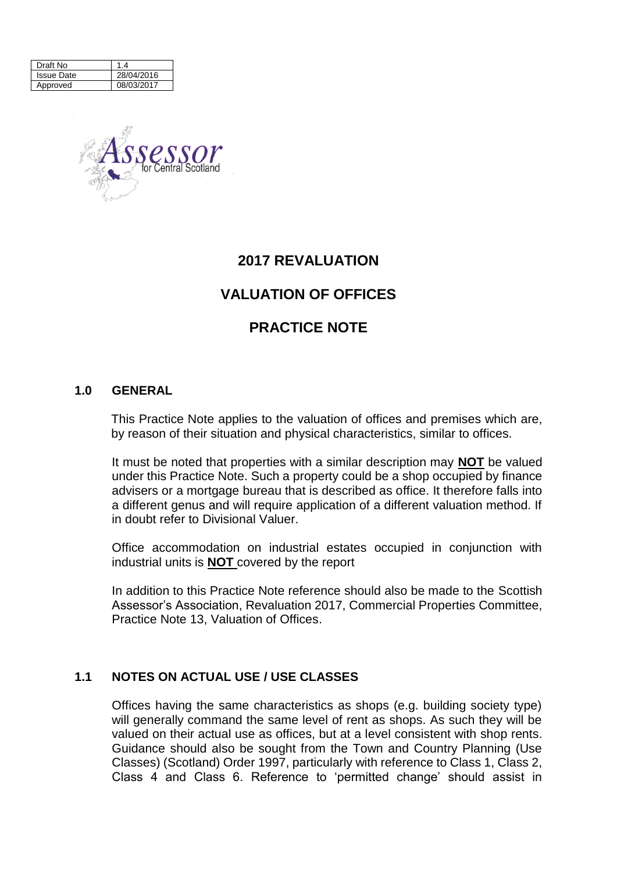| Draft No          | 4          |
|-------------------|------------|
| <b>Issue Date</b> | 28/04/2016 |
| Approved          | 08/03/2017 |



# **2017 REVALUATION**

# **VALUATION OF OFFICES**

# **PRACTICE NOTE**

#### **1.0 GENERAL**

This Practice Note applies to the valuation of offices and premises which are, by reason of their situation and physical characteristics, similar to offices.

It must be noted that properties with a similar description may **NOT** be valued under this Practice Note. Such a property could be a shop occupied by finance advisers or a mortgage bureau that is described as office. It therefore falls into a different genus and will require application of a different valuation method. If in doubt refer to Divisional Valuer.

Office accommodation on industrial estates occupied in conjunction with industrial units is **NOT** covered by the report

In addition to this Practice Note reference should also be made to the Scottish Assessor's Association, Revaluation 2017, Commercial Properties Committee, Practice Note 13, Valuation of Offices.

## **1.1 NOTES ON ACTUAL USE / USE CLASSES**

Offices having the same characteristics as shops (e.g. building society type) will generally command the same level of rent as shops. As such they will be valued on their actual use as offices, but at a level consistent with shop rents. Guidance should also be sought from the Town and Country Planning (Use Classes) (Scotland) Order 1997, particularly with reference to Class 1, Class 2, Class 4 and Class 6. Reference to 'permitted change' should assist in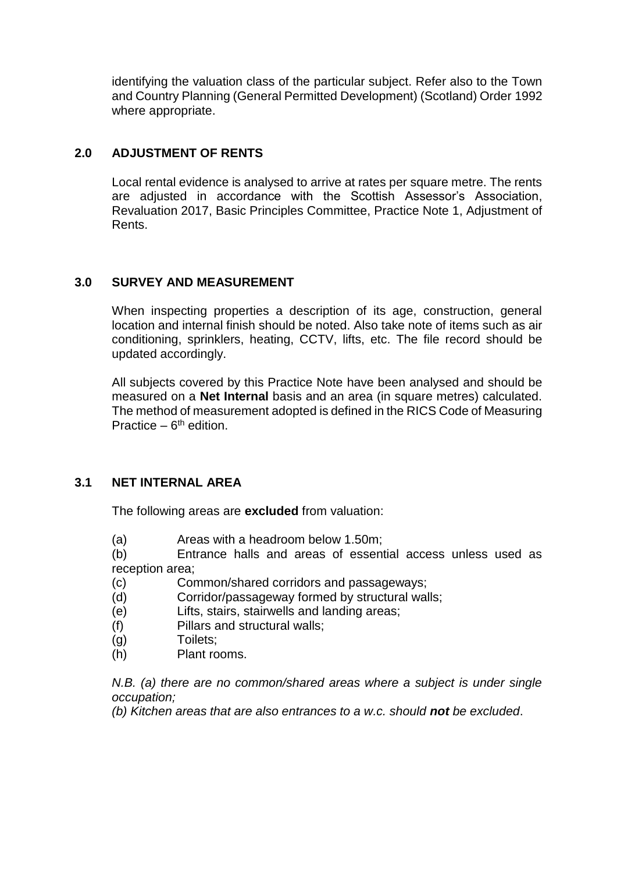identifying the valuation class of the particular subject. Refer also to the Town and Country Planning (General Permitted Development) (Scotland) Order 1992 where appropriate.

# **2.0 ADJUSTMENT OF RENTS**

Local rental evidence is analysed to arrive at rates per square metre. The rents are adjusted in accordance with the Scottish Assessor's Association, Revaluation 2017, Basic Principles Committee, Practice Note 1, Adjustment of Rents.

## **3.0 SURVEY AND MEASUREMENT**

When inspecting properties a description of its age, construction, general location and internal finish should be noted. Also take note of items such as air conditioning, sprinklers, heating, CCTV, lifts, etc. The file record should be updated accordingly.

All subjects covered by this Practice Note have been analysed and should be measured on a **Net Internal** basis and an area (in square metres) calculated. The method of measurement adopted is defined in the RICS Code of Measuring Practice  $-6<sup>th</sup>$  edition.

## **3.1 NET INTERNAL AREA**

The following areas are **excluded** from valuation:

(a) Areas with a headroom below 1.50m;

(b) Entrance halls and areas of essential access unless used as reception area;

(c) Common/shared corridors and passageways;

(d) Corridor/passageway formed by structural walls;

(e) Lifts, stairs, stairwells and landing areas;

(f) Pillars and structural walls;

- (g) Toilets;
- (h) Plant rooms.

*N.B. (a) there are no common/shared areas where a subject is under single occupation;*

*(b) Kitchen areas that are also entrances to a w.c. should not be excluded*.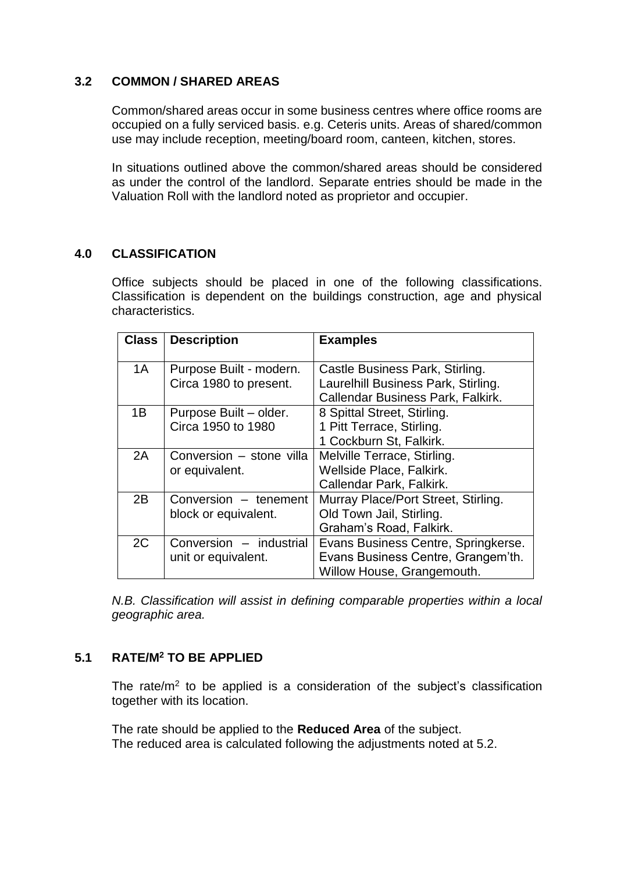#### **3.2 COMMON / SHARED AREAS**

Common/shared areas occur in some business centres where office rooms are occupied on a fully serviced basis. e.g. Ceteris units. Areas of shared/common use may include reception, meeting/board room, canteen, kitchen, stores.

In situations outlined above the common/shared areas should be considered as under the control of the landlord. Separate entries should be made in the Valuation Roll with the landlord noted as proprietor and occupier.

## **4.0 CLASSIFICATION**

Office subjects should be placed in one of the following classifications. Classification is dependent on the buildings construction, age and physical characteristics.

| <b>Class</b> | <b>Description</b>                                | <b>Examples</b>                                                                                             |
|--------------|---------------------------------------------------|-------------------------------------------------------------------------------------------------------------|
| 1A           | Purpose Built - modern.<br>Circa 1980 to present. | Castle Business Park, Stirling.<br>Laurelhill Business Park, Stirling.<br>Callendar Business Park, Falkirk. |
| 1B           | Purpose Built - older.<br>Circa 1950 to 1980      | 8 Spittal Street, Stirling.<br>1 Pitt Terrace, Stirling.<br>1 Cockburn St, Falkirk.                         |
| 2A           | Conversion – stone villa<br>or equivalent.        | Melville Terrace, Stirling.<br>Wellside Place, Falkirk.<br>Callendar Park, Falkirk.                         |
| 2B           | Conversion - tenement<br>block or equivalent.     | Murray Place/Port Street, Stirling.<br>Old Town Jail, Stirling.<br>Graham's Road, Falkirk.                  |
| 2C           | Conversion - industrial<br>unit or equivalent.    | Evans Business Centre, Springkerse.<br>Evans Business Centre, Grangem'th.<br>Willow House, Grangemouth.     |

*N.B. Classification will assist in defining comparable properties within a local geographic area.*

# **5.1 RATE/M<sup>2</sup> TO BE APPLIED**

The rate/ $m<sup>2</sup>$  to be applied is a consideration of the subject's classification together with its location.

The rate should be applied to the **Reduced Area** of the subject. The reduced area is calculated following the adjustments noted at 5.2.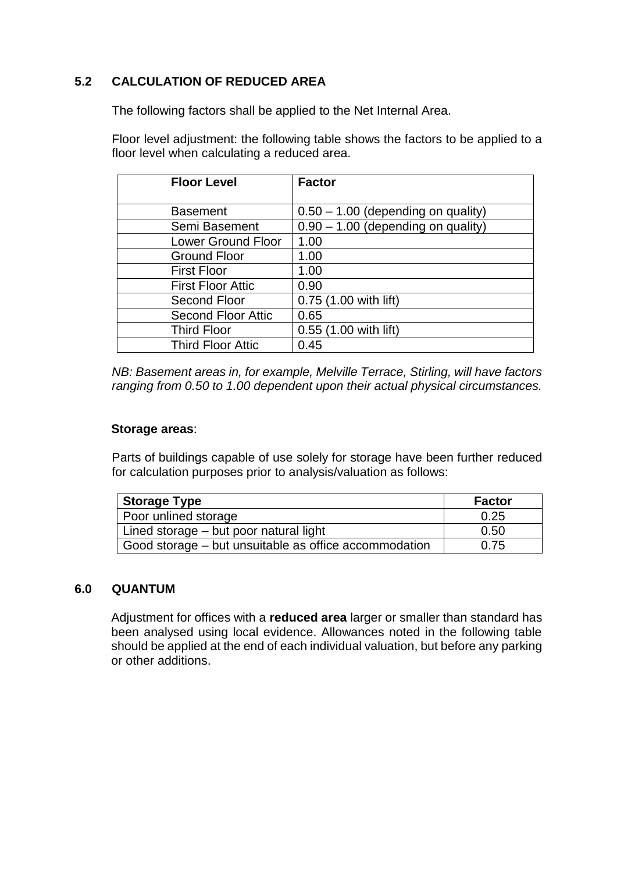# **5.2 CALCULATION OF REDUCED AREA**

The following factors shall be applied to the Net Internal Area.

Floor level adjustment: the following table shows the factors to be applied to a floor level when calculating a reduced area.

| <b>Floor Level</b>        | <b>Factor</b>                        |
|---------------------------|--------------------------------------|
|                           |                                      |
| <b>Basement</b>           | $0.50 - 1.00$ (depending on quality) |
| Semi Basement             | $0.90 - 1.00$ (depending on quality) |
| <b>Lower Ground Floor</b> | 1.00                                 |
| <b>Ground Floor</b>       | 1.00                                 |
| <b>First Floor</b>        | 1.00                                 |
| <b>First Floor Attic</b>  | 0.90                                 |
| Second Floor              | 0.75 (1.00 with lift)                |
| <b>Second Floor Attic</b> | 0.65                                 |
| <b>Third Floor</b>        | 0.55 (1.00 with lift)                |
| <b>Third Floor Attic</b>  | 0.45                                 |

*NB: Basement areas in, for example, Melville Terrace, Stirling, will have factors ranging from 0.50 to 1.00 dependent upon their actual physical circumstances.* 

#### **Storage areas**:

Parts of buildings capable of use solely for storage have been further reduced for calculation purposes prior to analysis/valuation as follows:

| Storage Type                                          | <b>Factor</b> |
|-------------------------------------------------------|---------------|
| I Poor unlined storage                                | 0.25          |
| Lined storage – but poor natural light                | 0.50          |
| Good storage – but unsuitable as office accommodation | 0.75          |

#### **6.0 QUANTUM**

Adjustment for offices with a **reduced area** larger or smaller than standard has been analysed using local evidence. Allowances noted in the following table should be applied at the end of each individual valuation, but before any parking or other additions.